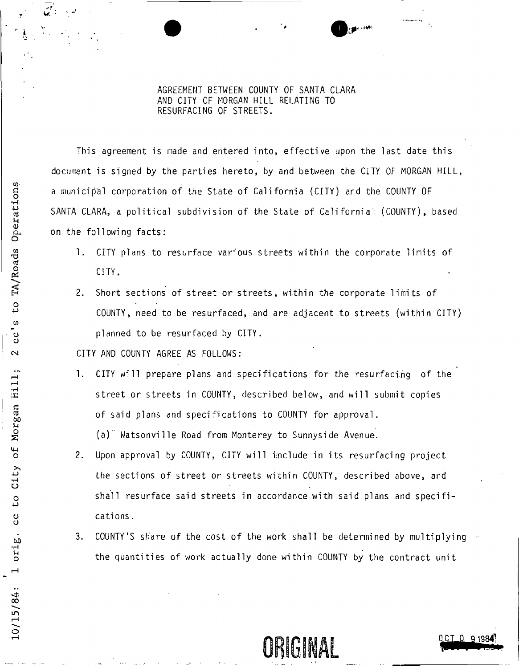AGREEMENT BETWEEN COUNTY OF SANTA CLARA AND CITY OF MORGAN HILL RELATING TO RESURFACING OF STREETS.

This agreement is made and entered into, effective upon the last date this document is signed by the parties hereto, by and between the CITY OF MORGAN HILL, a municipal corporation of the State of California (CITY) and the COUNTY OF SANTA CLARA, a political subdivision of the State of California': (COUNTY), based on the following facts:

- 1, CITY plans to resurface various streets within the corporate limits of CITY.
- 2. Short sections of street or streets, within the corporate limits of COUNTY, need to be resurfaced, and are adjacent to streets (within CITY) planned to be resurfaced by CITY.

CITY AND COUNTY AGREE AS FOLLOWS:

1. CITY will prepare plans and specifications for the resurfacing of the street or streets in COUNTY, described below, and will submit copies of said plans and specifications to COUNTY for approval.

(a) Watsonville Road from Monterey to Sunnyside Avenue.

- 2. Upon approval by COUNTY, CITY will include in its resurfacing project the sections of street or streets within COUNTY, described above, and shall resurface said streets in accordance with said plans and specifications .
- 3. COUNTY'S share of the cost of the work shall be determined by multiplying the quantities of work actually done within COUNTY by the contract unit

URIGINAL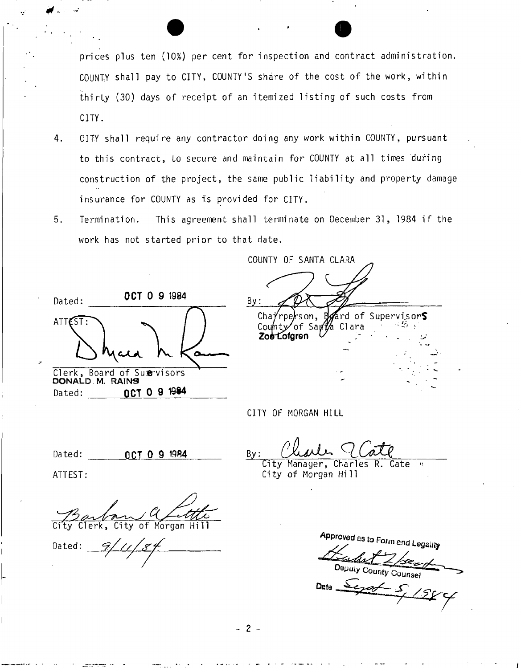prices plus ten (10%) per cent for inspection and contract administration. COUNTY shall pay to CITY, COUNTY'S share of the cost of the work, within thirty (30) days of receipt of an itemized listing of such costs from CITY.

- 4. CITY shall require any contractor doing any work within COUNTY, pursuant to this contract, to secure and maintain for COUNTY at all times during construction of the project, the same public liability and property damage insurance for COUNTY as is provided for CITY.
- 5. Termination. This agreement shall terminate on December 31, 1984 if the work has not started prior to that date.

**O C T 0 9 1984**  Dated: ATTEST: Clerk, Board of Supervisors DONALD M. RAINS Dated: **OCT 0 9 1984** 

COUNTY OF SANTA CLARA By: ard of Supervisor $\mathsf S$ Cha $\acute{\gamma}$ rpe $r$ son, County/of Sa<sub>l</sub> Zoe Lofgron

CITY OF MORGAN HILL

Dated: **OCT 0 9 1984** By:

City Manager, Charles R. Cate ^ City of Morgan Hill

ATTEST:

Clerk, City of Morgan

Dated:

**Approved** as to Form and

Deputy County Counsel

Dete  $\rightarrow$ 

- 2 -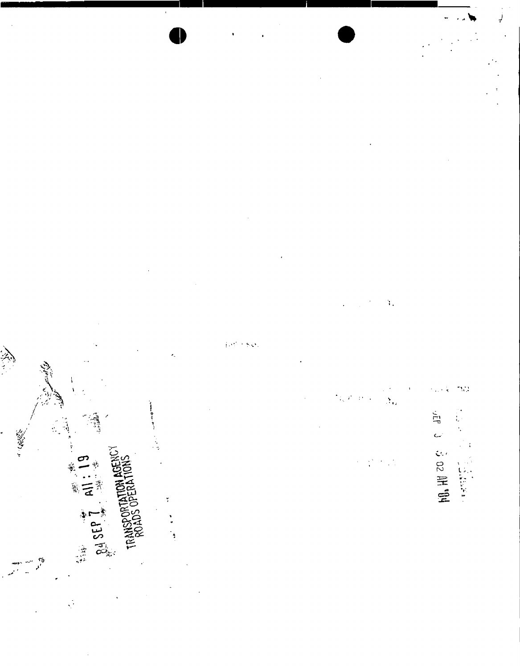"金钱" "三、 **P4 SEP 1** ŗ TRAN ţ

¥.

 $\mathcal{N}$  $\mathbf{S}_{ij}$ 

 $\frac{1}{2}$ 

**MO HU 20 & C 4176**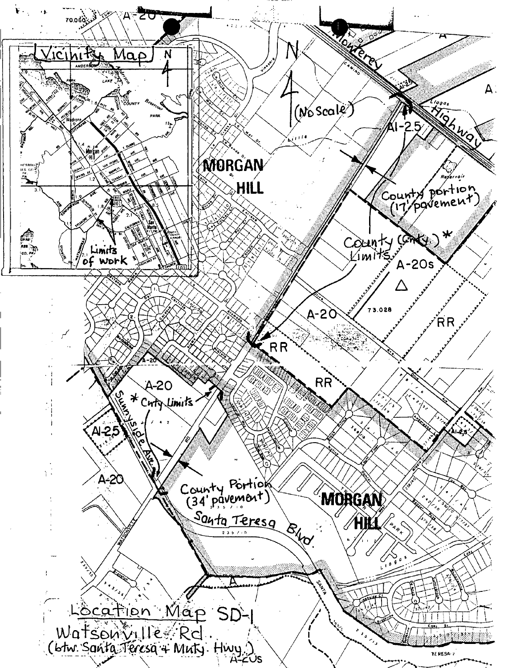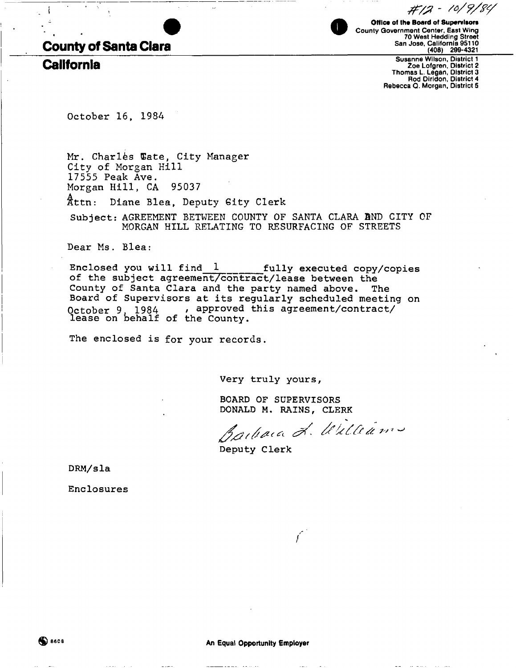# **County of Santa Clara**

**California** 

Office of the Board of Supervisors County Government Center, East Wing 70 West Hedding Street San Jose, California 95110 (408) 299-4321

Susanne Wilson, District 1 Zoe Lofgren, District 2 Thomas L. Legan, District 3 Rod Diridon, District 4 Rebecca Q. Morgan, District 5

#12 - 10/9/84

October 16, 1984

Mr. Charles Wate, City Manager City of Morgan Hill 17555 Peak Ave. Morgan Hill, CA 95037 Attn: Diane Blea, Deputy Gity Clerk Subject: AGREEMENT BETWEEN COUNTY OF SANTA CLARA BND CITY OF MORGAN HILL RELATING TO RESURFACING OF STREETS

Dear Ms. Blea:

**Enclosed you will find 1 fully executed copy/copies of the subject agreement/contract/lease between the County of Santa Clara and the party named above. The Board of Supervisors at its regularly scheduled meeting on October** 9 1984 **r approved this agreement/contract/ lease on behalf of the County.** 

The enclosed is for your records.

**Very truly yours,** 

**BOARD OF SUPERVISORS DONALD M . RAINS, CLERK** 

N.  $\mathscr{D} \cdot \mathscr{U} \times \mathscr{C}$ 

/

**Deputy Clerk** 

**DRM/sla** 

**Enclosures**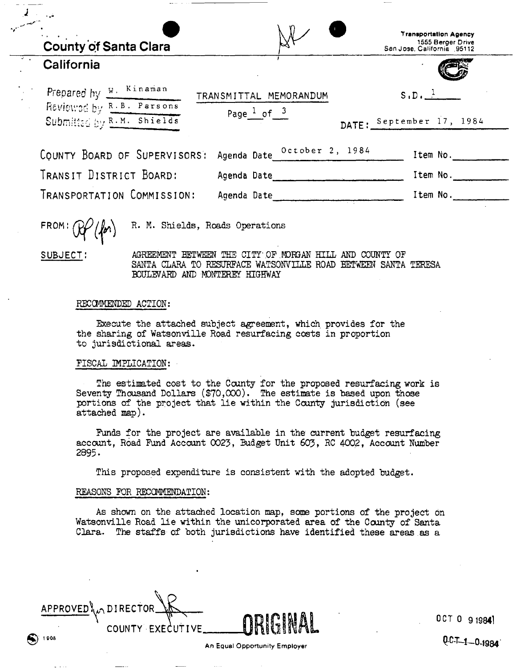| $\mathcal{O}(\mathcal{O}(\log n)^{1/2})$<br><b>County of Santa Clara</b> |                                                   | <b>Transportation Agency</b><br>1555 Berger Drive<br>San Jose, California 95112 |
|--------------------------------------------------------------------------|---------------------------------------------------|---------------------------------------------------------------------------------|
| California                                                               |                                                   |                                                                                 |
| Prepared hy W. Kinaman                                                   | TRANSMITTAL MEMORANDUM                            | $S \cdot D \cdot \frac{1}{\cdots}$                                              |
| Reviewed by R.B. Parsons<br>Submitted by R.M. Shields                    | Page $\frac{1}{\sqrt{5}}$ of $\frac{3}{\sqrt{5}}$ | DATE: September 17, 1984                                                        |
|                                                                          |                                                   |                                                                                 |
| COUNTY BOARD OF SUPERVISORS:                                             | Agenda Date October 2, 1984                       | Item No.                                                                        |
| TRANSIT DISTRICT BOARD:                                                  | Agenda Date                                       | Item No.                                                                        |
| TRANSPORTATION COMMISSION:                                               | Agenda Date                                       | Item No.                                                                        |

**FROM** 

R. M. Shields, Roads Operations

**SUBJECT:** 

AGREEMENT BETWEEN THE CITY OF MORGAN HILL AND COUNTY OF SANTA CLARA TO RESURFACE WATSONVILLE ROAD BETWEEN SANTA TERESA BOULEVARD AND MONTEREY HIGHWAY

## RECOMMENDED ACTION:

Execute the attached subject agreement, which provides for the the sharing of Watsonville Road resurfacing costs in proportion to jurisdictional areas.

# FISCAL IMPLICATION:

The estimated cost to the County for the proposed resurfacing work is Seventy Thousand Dollars  $(\$70,000)$ . The estimate is based upon those portions of the project that lie within the County jurisdiction (see attached map).

Funds for the project are available in the current budget resurfacing account, Road Fund Account 0023, Budget Unit 603, RC 4002, Account Number 2895.

This proposed expenditure is consistent with the adopted budget.

### REASONS FDR RECOMMENDATION:

As shown on the attached location map, some portions of the project on Watsonville Road lie within the unicorporated area of the County of Santa Clara. The staffs of both jurisdictions have identified these areas as a

 $APPROVED$ <sup>1</sup>  $\Lambda$  DIRECTOR COUNTY EXECUTIVE\_  $\binom{1908}{1908}$ 

**OCT 0 919841**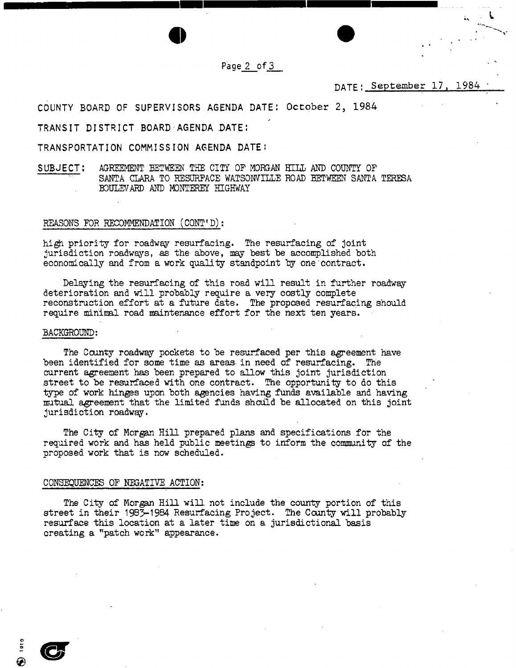Page 2 of 3

DATE : September 17, 1984

**COUNTY BOARD OF SUPERVISORS AGENDA DATE: October 2, 1984** 

**TRANSIT DISTRICT BOARD AGENDA DATE:** 

**TRANSPORTATION COMMISSION AGENDA DATE J** 

SUBJECT: AGREEMENT BETWEEN THE CITY OF MORGAN HILL AND COUNTY OF SANTA CLARA TO RESURFACE WATSONVILLE ROAD BETWEEN SANTA TERESA BOULEVARD AND MONTEREY HIGHWAY

#### REASONS FOR RECOMMENDATION (CONT'D):

high priority for roadway resurfacing. The resurfacing of joint jurisdiction roadways, as the above, may best be accomplished both economically and from a work quality standpoint by one'contract.

Delaying the resurfacing of this road will result in further roadway deterioration and will probably require a very costly complete reconstruction effort at a future date. The proposed resurfacing should require minimal road maintenance effort for the next ten years.

#### BACKGROUND:

The County roadway pockets to be resurfaced per this agreement have been identified for some time as areas in need of resurfacing. The current agreement has been prepared to allow this joint jurisdiction street to be resurfaced with one contract. The opportunity to do this type of work hinges upon both agencies having funds available and having mutual agreement that the limited funds should be allocated on this joint jurisdiction roadway.

The City of Morgan Hill prepared plans and specifications for the required work and has held public meetings to inform the community of the proposed work that is now scheduled.

#### CONSEQUENCES OP NEGATIVE ACTION:

The City of Morgan Hill will not include the county portion of this street in their 1985-1984 Resurfacing Project. The County will probably resurface this location at a later time on a jurisdictional basis creating a "patch work" appearance.

**®**